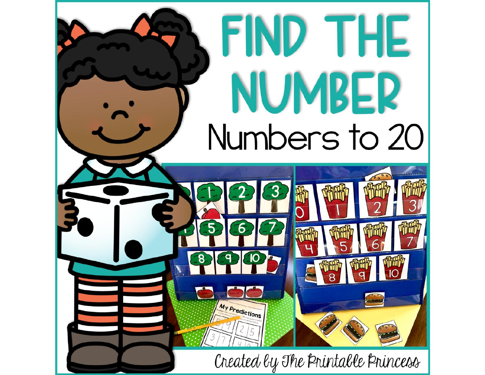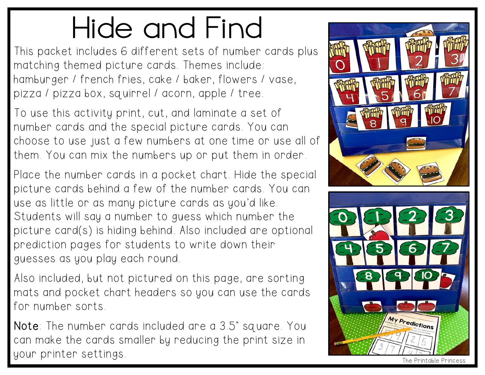## Hide and Find

This packet includes 6 different sets of number cards plus matching themed picture cards. Themes include: hamburger / french fries, cake / baker, flowers / vase, pizza / pizza box, squirrel / acorn, apple / tree.

To use this activity print, cut, and laminate a set of number cards and the special picture cards. You can choose to use just a few numbers at one time or use all of them. You can mix the numbers up or put them in order.

Place the number cards in a pocket chart. Hide the special picture cards behind a few of the number cards. You can use as little or as many picture cards as you'd like. Students will say a number to guess which number the picture card(s) is hiding behind. Also included are optional prediction pages for students to write down their guesses as you play each round.

Also included, but not pictured on this page, are sorting mats and pocket chart headers so you can use the cards for number sorts.

Note: The number cards included are a 3.5" square. You can make the cards smaller by reducing the print size in your printer settings. The Princess of the Princes of the Princes of the Princes